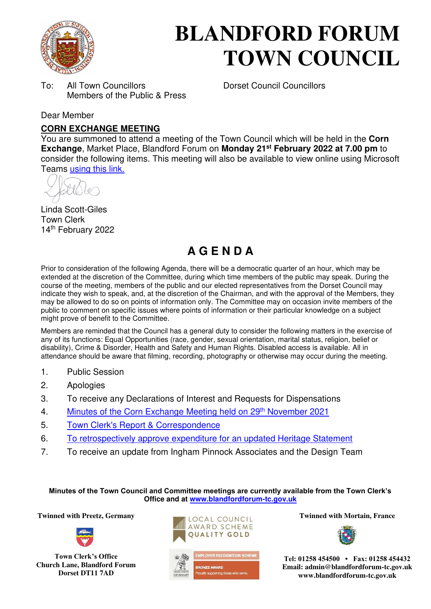

# **BLANDFORD FORUM TOWN COUNCIL**

To: All Town Councillors Dorset Council Councillors Members of the Public & Press

#### Dear Member

#### **CORN EXCHANGE MEETING**

You are summoned to attend a meeting of the Town Council which will be held in the **Corn Exchange**, Market Place, Blandford Forum on **Monday 21st February 2022 at 7.00 pm** to consider the following items. This meeting will also be available to view online using Microsoft Teams [using this link.](https://teams.microsoft.com/l/meetup-join/19%3a2cb1b1f9de074efdad40308940ab9ba0%40thread.tacv2/1637586404349?context=%7b%22Tid%22%3a%223cd8f2fb-4c45-4162-86f1-fb87b5f6a138%22%2c%22Oid%22%3a%2265e5950c-ab1c-41cc-9090-4a755c733f54%22%7d)

Linda Scott-Giles Town Clerk 14th February 2022

## **A G E N D A**

Prior to consideration of the following Agenda, there will be a democratic quarter of an hour, which may be extended at the discretion of the Committee, during which time members of the public may speak. During the course of the meeting, members of the public and our elected representatives from the Dorset Council may indicate they wish to speak, and, at the discretion of the Chairman, and with the approval of the Members, they may be allowed to do so on points of information only. The Committee may on occasion invite members of the public to comment on specific issues where points of information or their particular knowledge on a subject might prove of benefit to the Committee.

Members are reminded that the Council has a general duty to consider the following matters in the exercise of any of its functions: Equal Opportunities (race, gender, sexual orientation, marital status, religion, belief or disability), Crime & Disorder, Health and Safety and Human Rights. Disabled access is available. All in attendance should be aware that filming, recording, photography or otherwise may occur during the meeting.

- 1. Public Session
- 2. Apologies
- 3. To receive any Declarations of Interest and Requests for Dispensations
- 4. [Minutes of the Corn Exchange Meeting held on 29](https://blandfordforum-tc.gov.uk/wp-content/uploads/2021/12/291121.pdf)<sup>th</sup> November 2021
- 5. [Town Clerk's Report & Correspondence](#page-1-0)
- 6. [To retrospectively approve expenditure for an updated Heritage Statement](#page-2-0)
- 7. To receive an update from Ingham Pinnock Associates and the Design Team

**Minutes of the Town Council and Committee meetings are currently available from the Town Clerk's Office and at [www.blandfordforum-tc.gov.uk](http://www.blandfordforum-tc.gov.uk/)**

**Twinned with Preetz, Germany Twinned with Mortain, France** 



**Town Clerk's Office Church Lane, Blandford Forum Dorset DT11 7AD** 







**Tel: 01258 454500 • Fax: 01258 454432 Email: admin@blandfordforum-tc.gov.uk www.blandfordforum-tc.gov.uk**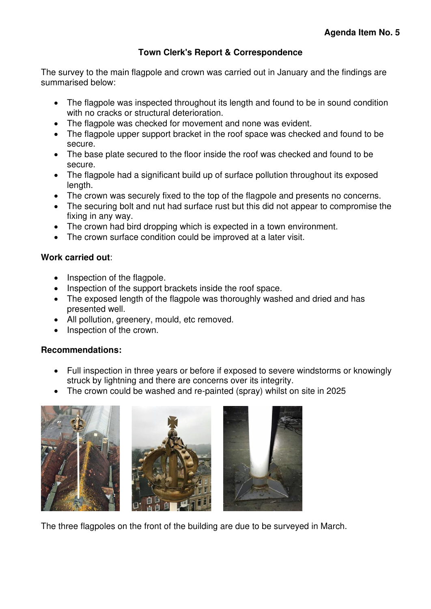#### **Town Clerk's Report & Correspondence**

<span id="page-1-0"></span>The survey to the main flagpole and crown was carried out in January and the findings are summarised below:

- The flagpole was inspected throughout its length and found to be in sound condition with no cracks or structural deterioration.
- The flagpole was checked for movement and none was evident.
- The flagpole upper support bracket in the roof space was checked and found to be secure.
- The base plate secured to the floor inside the roof was checked and found to be secure.
- The flagpole had a significant build up of surface pollution throughout its exposed length.
- The crown was securely fixed to the top of the flagpole and presents no concerns.
- The securing bolt and nut had surface rust but this did not appear to compromise the fixing in any way.
- The crown had bird dropping which is expected in a town environment.
- The crown surface condition could be improved at a later visit.

#### **Work carried out**:

- Inspection of the flagpole.
- Inspection of the support brackets inside the roof space.
- The exposed length of the flagpole was thoroughly washed and dried and has presented well.
- All pollution, greenery, mould, etc removed.
- Inspection of the crown.

### **Recommendations:**

- Full inspection in three years or before if exposed to severe windstorms or knowingly struck by lightning and there are concerns over its integrity.
- The crown could be washed and re-painted (spray) whilst on site in 2025







The three flagpoles on the front of the building are due to be surveyed in March.